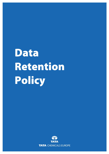# Data Retention Policy

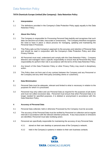## Data Retention Policy

### **TATA Chemicals Europe Limited (the Company): Data Retention Policy**

#### **1 Interpretation**

1.1 The definitions provided in the Company's Data Protection Policy apply equally to this Data Retention Policy.

#### **2 About this Policy**

- 2.1 The Company is responsible for Processing Personal Data lawfully and recognises that such data can become out of date, inaccurate or unnecessary. The Company therefore recognises the need to have in place a robust process for managing, updating and maintaining the Personal Data it Processes.
- 2.2 This Policy sets out the Company's approach to the accuracy and retention of Personal Data and should be read in conjunction with the Company's Data Protection Policy and other Privacy Policies.
- 2.3 All Personnel must read, understand and comply with this Data Retention Policy. Company directors and managers have a specific responsibility to ensure that all Personnel they have responsibility for perform their role in accordance with the terms of this Data Retention Policy.
- 2.4 Any breach of this Data Protection Policy or other Privacy Policy may result in disciplinary action.
- 2.5 This Policy does not form part of any contract between the Company and any Personnel or the Company and any other third party (including clients or customers).

#### **3 Data Minimisation**

- 3.1 Personal Data must be adequate, relevant and limited to what is necessary in relation to the purposes for which it is processed.
- 3.2 Personnel may only collect and use Personal Data as required for the purposes of job duties and must not collect excessive data. Personnel must ensure that when Personal Data is no longer needed for specified purposes, it is deleted or anonymised in accordance with this Data Retention Policy.

#### **4 Accuracy of Personal Data**

- 4.1 Personal Data collected, held or otherwise Processed by the Company must be accurate.
- 4.2 The accuracy of the Personal Data must be verified by Personnel on collection and at regular intervals in accordance with the relevant retention protocols. If any inaccuracies or omissions are identified, Personnel must take rectifying action.
- 4.3 Personnel are specifically responsible for maintaining the accuracy of any Personal Data:
	- 4.3.1 stored on their own desktop or personal area of the Company's network;
	- 4.3.2 held in the Company's systems in relation to their own business contacts.